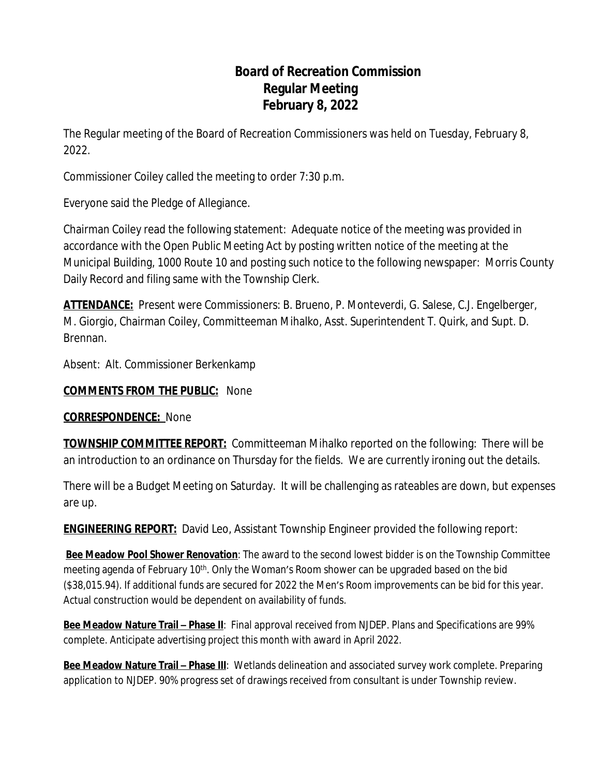# **Board of Recreation Commission Regular Meeting February 8, 2022**

The Regular meeting of the Board of Recreation Commissioners was held on Tuesday, February 8, 2022.

Commissioner Coiley called the meeting to order 7:30 p.m.

Everyone said the Pledge of Allegiance.

Chairman Coiley read the following statement: Adequate notice of the meeting was provided in accordance with the Open Public Meeting Act by posting written notice of the meeting at the Municipal Building, 1000 Route 10 and posting such notice to the following newspaper: Morris County Daily Record and filing same with the Township Clerk.

**ATTENDANCE:** Present were Commissioners: B. Brueno, P. Monteverdi, G. Salese, C.J. Engelberger, M. Giorgio, Chairman Coiley, Committeeman Mihalko, Asst. Superintendent T. Quirk, and Supt. D. Brennan.

Absent: Alt. Commissioner Berkenkamp

**COMMENTS FROM THE PUBLIC:** None

**CORRESPONDENCE:** None

**TOWNSHIP COMMITTEE REPORT:** Committeeman Mihalko reported on the following: There will be an introduction to an ordinance on Thursday for the fields. We are currently ironing out the details.

There will be a Budget Meeting on Saturday. It will be challenging as rateables are down, but expenses are up.

**ENGINEERING REPORT:** David Leo, Assistant Township Engineer provided the following report:

**Bee Meadow Pool Shower Renovation**: The award to the second lowest bidder is on the Township Committee meeting agenda of February 10<sup>th</sup>. Only the Woman's Room shower can be upgraded based on the bid (\$38,015.94). If additional funds are secured for 2022 the Men's Room improvements can be bid for this year. Actual construction would be dependent on availability of funds.

**Bee Meadow Nature Trail – Phase II**: Final approval received from NJDEP. Plans and Specifications are 99% complete. Anticipate advertising project this month with award in April 2022.

**Bee Meadow Nature Trail - Phase III**: Wetlands delineation and associated survey work complete. Preparing application to NJDEP. 90% progress set of drawings received from consultant is under Township review.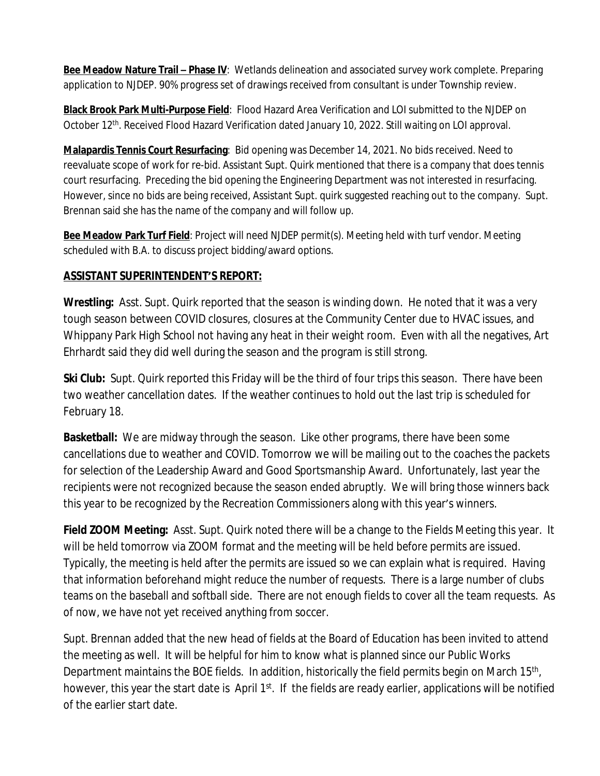**Bee Meadow Nature Trail – Phase IV:** Wetlands delineation and associated survey work complete. Preparing application to NJDEP. 90% progress set of drawings received from consultant is under Township review.

**Black Brook Park Multi-Purpose Field**: Flood Hazard Area Verification and LOI submitted to the NJDEP on October 12<sup>th</sup>. Received Flood Hazard Verification dated January 10, 2022. Still waiting on LOI approval.

**Malapardis Tennis Court Resurfacing**: Bid opening was December 14, 2021. No bids received. Need to reevaluate scope of work for re-bid. Assistant Supt. Quirk mentioned that there is a company that does tennis court resurfacing. Preceding the bid opening the Engineering Department was not interested in resurfacing. However, since no bids are being received, Assistant Supt. quirk suggested reaching out to the company. Supt. Brennan said she has the name of the company and will follow up.

**Bee Meadow Park Turf Field**: Project will need NJDEP permit(s). Meeting held with turf vendor. Meeting scheduled with B.A. to discuss project bidding/award options.

## **ASSISTANT SUPERINTENDENT'S REPORT:**

**Wrestling:** Asst. Supt. Quirk reported that the season is winding down. He noted that it was a very tough season between COVID closures, closures at the Community Center due to HVAC issues, and Whippany Park High School not having any heat in their weight room. Even with all the negatives, Art Ehrhardt said they did well during the season and the program is still strong.

**Ski Club:** Supt. Quirk reported this Friday will be the third of four trips this season. There have been two weather cancellation dates. If the weather continues to hold out the last trip is scheduled for February 18.

**Basketball:** We are midway through the season. Like other programs, there have been some cancellations due to weather and COVID. Tomorrow we will be mailing out to the coaches the packets for selection of the Leadership Award and Good Sportsmanship Award. Unfortunately, last year the recipients were not recognized because the season ended abruptly. We will bring those winners back this year to be recognized by the Recreation Commissioners along with this year's winners.

**Field ZOOM Meeting:** Asst. Supt. Quirk noted there will be a change to the Fields Meeting this year. It will be held tomorrow via ZOOM format and the meeting will be held *before* permits are issued. Typically, the meeting is held after the permits are issued so we can explain what is required. Having that information beforehand might reduce the number of requests. There is a large number of clubs teams on the baseball and softball side. There are not enough fields to cover all the team requests. As of now, we have not yet received anything from soccer.

Supt. Brennan added that the new head of fields at the Board of Education has been invited to attend the meeting as well. It will be helpful for him to know what is planned since our Public Works Department maintains the BOE fields. In addition, historically the field permits begin on March 15<sup>th</sup>, however, this year the start date is April 1<sup>st</sup>. If the fields are ready earlier, applications will be notified of the earlier start date.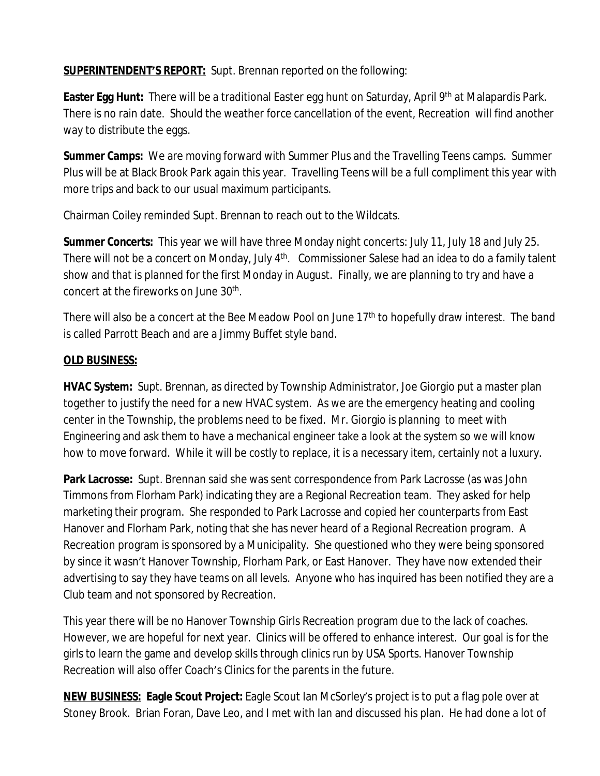**SUPERINTENDENT'S REPORT:** Supt. Brennan reported on the following:

**Easter Egg Hunt:** There will be a traditional Easter egg hunt on Saturday, April 9<sup>th</sup> at Malapardis Park. There is no rain date. Should the weather force cancellation of the event, Recreation will find another way to distribute the eggs.

**Summer Camps:** We are moving forward with Summer Plus and the Travelling Teens camps. Summer Plus will be at Black Brook Park again this year. Travelling Teens will be a full compliment this year with more trips and back to our usual maximum participants.

Chairman Coiley reminded Supt. Brennan to reach out to the Wildcats.

**Summer Concerts:** This year we will have three Monday night concerts: July 11, July 18 and July 25. There will not be a concert on Monday, July 4<sup>th</sup>. Commissioner Salese had an idea to do a family talent show and that is planned for the first Monday in August. Finally, we are planning to try and have a concert at the fireworks on June 30<sup>th</sup>.

There will also be a concert at the Bee Meadow Pool on June 17<sup>th</sup> to hopefully draw interest. The band is called Parrott Beach and are a Jimmy Buffet style band.

# **OLD BUSINESS:**

**HVAC System:** Supt. Brennan, as directed by Township Administrator, Joe Giorgio put a master plan together to justify the need for a new HVAC system. As we are the emergency heating and cooling center in the Township, the problems need to be fixed. Mr. Giorgio is planning to meet with Engineering and ask them to have a mechanical engineer take a look at the system so we will know how to move forward. While it will be costly to replace, it is a necessary item, certainly not a luxury.

Park Lacrosse: Supt. Brennan said she was sent correspondence from Park Lacrosse (as was John Timmons from Florham Park) indicating they are a Regional Recreation team. They asked for help marketing their program. She responded to Park Lacrosse and copied her counterparts from East Hanover and Florham Park, noting that she has never heard of a Regional Recreation program. A Recreation program is sponsored by a Municipality. She questioned who they were being sponsored by since it wasn't Hanover Township, Florham Park, or East Hanover. They have now extended their advertising to say they have teams on all levels. Anyone who has inquired has been notified they are a Club team and not sponsored by Recreation.

This year there will be no Hanover Township Girls Recreation program due to the lack of coaches. However, we are hopeful for next year. Clinics will be offered to enhance interest. Our goal is for the girls to learn the game and develop skills through clinics run by USA Sports. Hanover Township Recreation will also offer Coach's Clinics for the parents in the future.

**NEW BUSINESS: Eagle Scout Project:** Eagle Scout Ian McSorley's project is to put a flag pole over at Stoney Brook. Brian Foran, Dave Leo, and I met with Ian and discussed his plan. He had done a lot of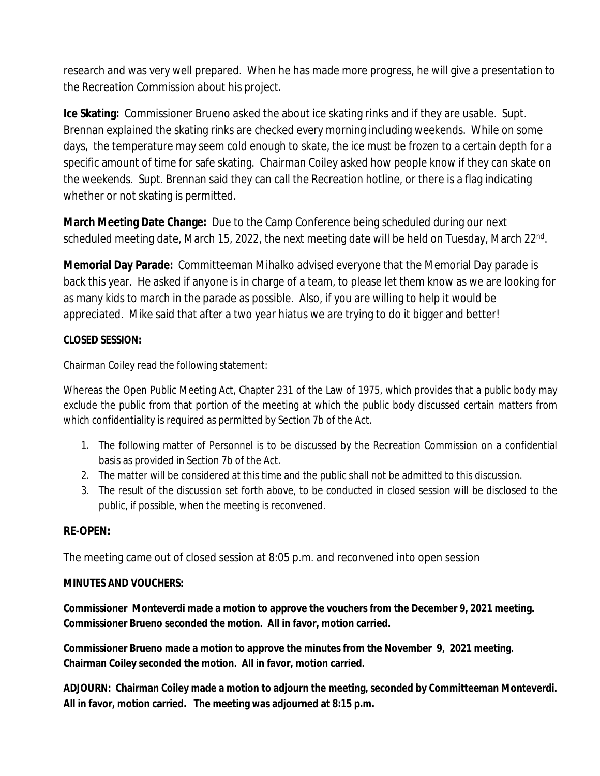research and was very well prepared. When he has made more progress, he will give a presentation to the Recreation Commission about his project.

**Ice Skating:** Commissioner Brueno asked the about ice skating rinks and if they are usable. Supt. Brennan explained the skating rinks are checked every morning including weekends. While on some days, the temperature may seem cold enough to skate, the ice must be frozen to a certain depth for a specific amount of time for safe skating. Chairman Coiley asked how people know if they can skate on the weekends. Supt. Brennan said they can call the Recreation hotline, or there is a flag indicating whether or not skating is permitted.

**March Meeting Date Change:** Due to the Camp Conference being scheduled during our next scheduled meeting date, March 15, 2022, the next meeting date will be held on Tuesday, March 22<sup>nd</sup>.

**Memorial Day Parade:** Committeeman Mihalko advised everyone that the Memorial Day parade is back this year. He asked if anyone is in charge of a team, to please let them know as we are looking for as many kids to march in the parade as possible. Also, if you are willing to help it would be appreciated. Mike said that after a two year hiatus we are trying to do it bigger and better!

#### **CLOSED SESSION:**

Chairman Coiley read the following statement:

Whereas the Open Public Meeting Act, Chapter 231 of the Law of 1975, which provides that a public body may exclude the public from that portion of the meeting at which the public body discussed certain matters from which confidentiality is required as permitted by Section 7b of the Act.

- 1. The following matter of Personnel is to be discussed by the Recreation Commission on a confidential basis as provided in Section 7b of the Act.
- 2. The matter will be considered at this time and the public shall not be admitted to this discussion.
- 3. The result of the discussion set forth above, to be conducted in closed session will be disclosed to the public, if possible, when the meeting is reconvened.

## **RE-OPEN:**

The meeting came out of closed session at 8:05 p.m. and reconvened into open session

#### **MINUTES AND VOUCHERS:**

**Commissioner Monteverdi made a motion to approve the vouchers from the December 9, 2021 meeting. Commissioner Brueno seconded the motion. All in favor, motion carried.**

**Commissioner Brueno made a motion to approve the minutes from the November 9, 2021 meeting. Chairman Coiley seconded the motion. All in favor, motion carried.**

**ADJOURN: Chairman Coiley made a motion to adjourn the meeting, seconded by Committeeman Monteverdi. All in favor, motion carried. The meeting was adjourned at 8:15 p.m.**